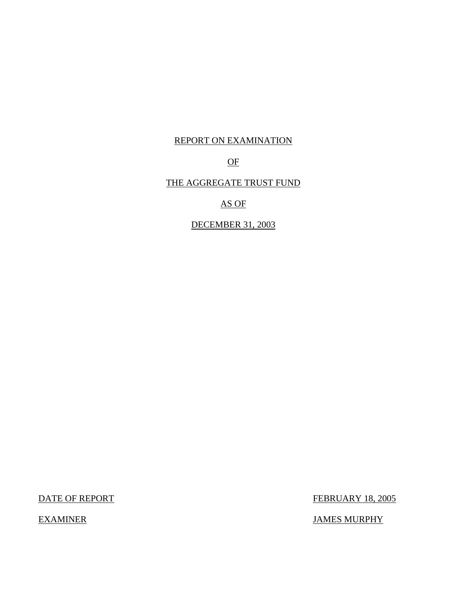## REPORT ON EXAMINATION

## OF

## THE AGGREGATE TRUST FUND

AS OF

DECEMBER 31, 2003

DATE OF REPORT FEBRUARY 18, 2005

EXAMINER JAMES MURPHY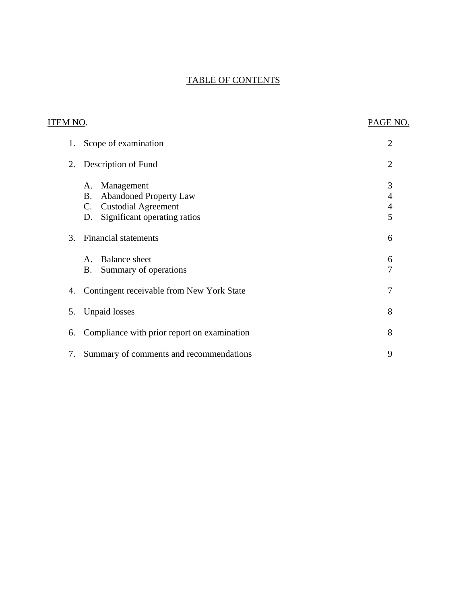## TABLE OF CONTENTS

| <b>ITEM NO.</b> |                                                                                                                                                      | PAGE NO.                                                       |
|-----------------|------------------------------------------------------------------------------------------------------------------------------------------------------|----------------------------------------------------------------|
| 1.              | Scope of examination                                                                                                                                 | $\overline{2}$                                                 |
| 2.              | Description of Fund                                                                                                                                  | $\overline{2}$                                                 |
|                 | Management<br>A.<br><b>Abandoned Property Law</b><br><b>B.</b><br><b>Custodial Agreement</b><br>$\mathsf{C}$ .<br>Significant operating ratios<br>D. | 3<br>$\overline{\mathcal{A}}$<br>$\overline{\mathcal{A}}$<br>5 |
| 3.              | <b>Financial statements</b>                                                                                                                          | 6                                                              |
|                 | <b>Balance</b> sheet<br>$\mathsf{A}$ .<br><b>B.</b><br>Summary of operations                                                                         | 6<br>7                                                         |
| 4.              | Contingent receivable from New York State                                                                                                            | 7                                                              |
| 5.              | <b>Unpaid losses</b>                                                                                                                                 | 8                                                              |
| 6.              | Compliance with prior report on examination                                                                                                          | 8                                                              |
| 7.              | Summary of comments and recommendations                                                                                                              | 9                                                              |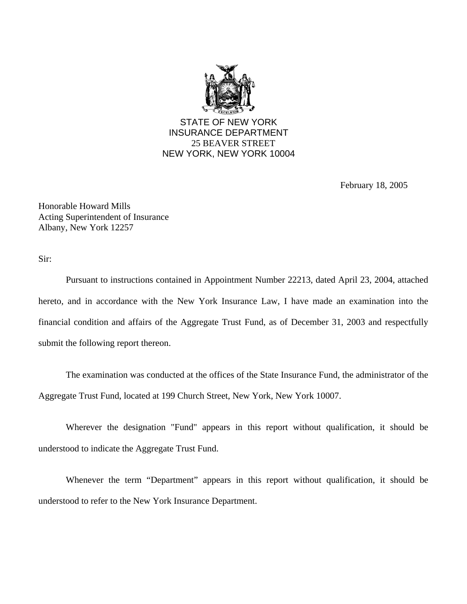

February 18, 2005

Honorable Howard Mills Acting Superintendent of Insurance Albany, New York 12257

Sir:

Pursuant to instructions contained in Appointment Number 22213, dated April 23, 2004, attached hereto, and in accordance with the New York Insurance Law, I have made an examination into the financial condition and affairs of the Aggregate Trust Fund, as of December 31, 2003 and respectfully submit the following report thereon.

The examination was conducted at the offices of the State Insurance Fund, the administrator of the Aggregate Trust Fund, located at 199 Church Street, New York, New York 10007.

Wherever the designation "Fund" appears in this report without qualification, it should be understood to indicate the Aggregate Trust Fund.

Whenever the term "Department" appears in this report without qualification, it should be understood to refer to the New York Insurance Department.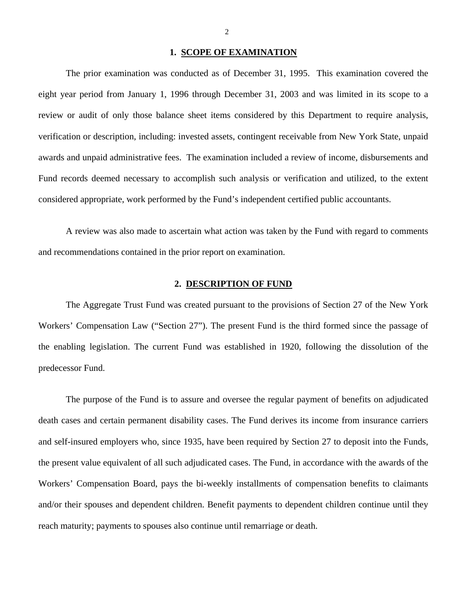#### **1. SCOPE OF EXAMINATION**

<span id="page-3-0"></span>The prior examination was conducted as of December 31, 1995. This examination covered the eight year period from January 1, 1996 through December 31, 2003 and was limited in its scope to a review or audit of only those balance sheet items considered by this Department to require analysis, verification or description, including: invested assets, contingent receivable from New York State, unpaid awards and unpaid administrative fees. The examination included a review of income, disbursements and Fund records deemed necessary to accomplish such analysis or verification and utilized, to the extent considered appropriate, work performed by the Fund's independent certified public accountants.

A review was also made to ascertain what action was taken by the Fund with regard to comments and recommendations contained in the prior report on examination.

#### **2. DESCRIPTION OF FUND**

The Aggregate Trust Fund was created pursuant to the provisions of Section 27 of the New York Workers' Compensation Law ("Section 27"). The present Fund is the third formed since the passage of the enabling legislation. The current Fund was established in 1920, following the dissolution of the predecessor Fund.

The purpose of the Fund is to assure and oversee the regular payment of benefits on adjudicated death cases and certain permanent disability cases. The Fund derives its income from insurance carriers and self-insured employers who, since 1935, have been required by Section 27 to deposit into the Funds, the present value equivalent of all such adjudicated cases. The Fund, in accordance with the awards of the Workers' Compensation Board, pays the bi-weekly installments of compensation benefits to claimants and/or their spouses and dependent children. Benefit payments to dependent children continue until they reach maturity; payments to spouses also continue until remarriage or death.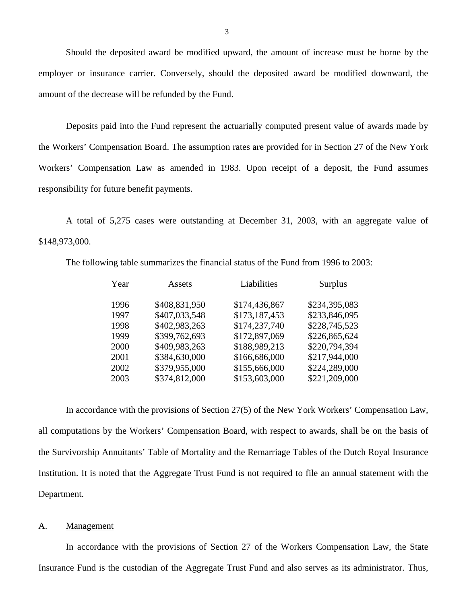Should the deposited award be modified upward, the amount of increase must be borne by the employer or insurance carrier. Conversely, should the deposited award be modified downward, the amount of the decrease will be refunded by the Fund.

Deposits paid into the Fund represent the actuarially computed present value of awards made by the Workers' Compensation Board. The assumption rates are provided for in Section 27 of the New York Workers' Compensation Law as amended in 1983. Upon receipt of a deposit, the Fund assumes responsibility for future benefit payments.

A total of 5,275 cases were outstanding at December 31, 2003, with an aggregate value of \$148,973,000.

The following table summarizes the financial status of the Fund from 1996 to 2003:

| Year | Assets        | Liabilities   | Surplus       |
|------|---------------|---------------|---------------|
| 1996 | \$408,831,950 | \$174,436,867 | \$234,395,083 |
| 1997 | \$407,033,548 | \$173,187,453 | \$233,846,095 |
| 1998 | \$402,983,263 | \$174,237,740 | \$228,745,523 |
| 1999 | \$399,762,693 | \$172,897,069 | \$226,865,624 |
| 2000 | \$409,983,263 | \$188,989,213 | \$220,794,394 |
| 2001 | \$384,630,000 | \$166,686,000 | \$217,944,000 |
| 2002 | \$379,955,000 | \$155,666,000 | \$224,289,000 |
| 2003 | \$374,812,000 | \$153,603,000 | \$221,209,000 |
|      |               |               |               |

In accordance with the provisions of Section 27(5) of the New York Workers' Compensation Law, all computations by the Workers' Compensation Board, with respect to awards, shall be on the basis of the Survivorship Annuitants' Table of Mortality and the Remarriage Tables of the Dutch Royal Insurance Institution. It is noted that the Aggregate Trust Fund is not required to file an annual statement with the Department.

#### A. Management

In accordance with the provisions of Section 27 of the Workers Compensation Law, the State Insurance Fund is the custodian of the Aggregate Trust Fund and also serves as its administrator. Thus,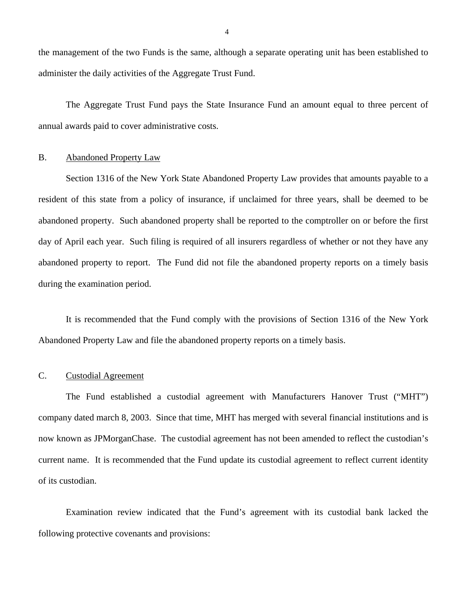<span id="page-5-0"></span>the management of the two Funds is the same, although a separate operating unit has been established to administer the daily activities of the Aggregate Trust Fund.

The Aggregate Trust Fund pays the State Insurance Fund an amount equal to three percent of annual awards paid to cover administrative costs.

#### B. Abandoned Property Law

Section 1316 of the New York State Abandoned Property Law provides that amounts payable to a resident of this state from a policy of insurance, if unclaimed for three years, shall be deemed to be abandoned property. Such abandoned property shall be reported to the comptroller on or before the first day of April each year. Such filing is required of all insurers regardless of whether or not they have any abandoned property to report. The Fund did not file the abandoned property reports on a timely basis during the examination period.

It is recommended that the Fund comply with the provisions of Section 1316 of the New York Abandoned Property Law and file the abandoned property reports on a timely basis.

#### C. Custodial Agreement

The Fund established a custodial agreement with Manufacturers Hanover Trust ("MHT") company dated march 8, 2003. Since that time, MHT has merged with several financial institutions and is now known as JPMorganChase. The custodial agreement has not been amended to reflect the custodian's current name. It is recommended that the Fund update its custodial agreement to reflect current identity of its custodian.

Examination review indicated that the Fund's agreement with its custodial bank lacked the following protective covenants and provisions: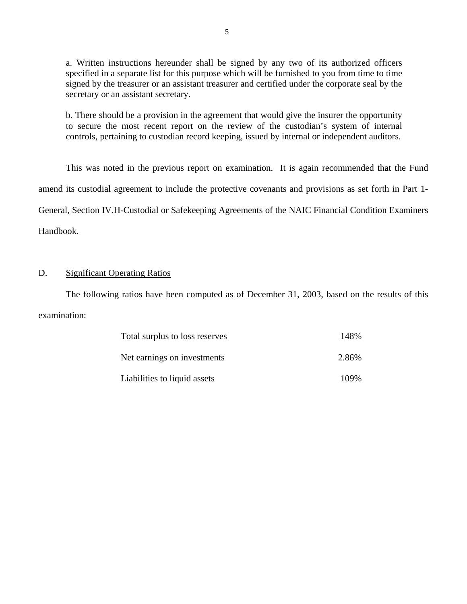a. Written instructions hereunder shall be signed by any two of its authorized officers specified in a separate list for this purpose which will be furnished to you from time to time signed by the treasurer or an assistant treasurer and certified under the corporate seal by the secretary or an assistant secretary.

b. There should be a provision in the agreement that would give the insurer the opportunity to secure the most recent report on the review of the custodian's system of internal controls, pertaining to custodian record keeping, issued by internal or independent auditors.

This was noted in the previous report on examination. It is again recommended that the Fund amend its custodial agreement to include the protective covenants and provisions as set forth in Part 1- General, Section IV.H-Custodial or Safekeeping Agreements of the NAIC Financial Condition Examiners Handbook.

### D. Significant Operating Ratios

The following ratios have been computed as of December 31, 2003, based on the results of this examination:

| Total surplus to loss reserves | 148%  |
|--------------------------------|-------|
| Net earnings on investments    | 2.86% |
| Liabilities to liquid assets   | 109%  |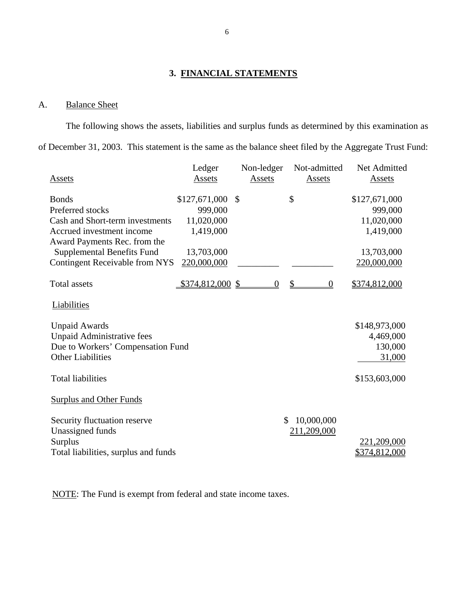## **3. FINANCIAL STATEMENTS**

### A. Balance Sheet

The following shows the assets, liabilities and surplus funds as determined by this examination as of December 31, 2003. This statement is the same as the balance sheet filed by the Aggregate Trust Fund:

|                                       | Ledger            |               | Non-ledger | Not-admitted     |          | Net Admitted  |
|---------------------------------------|-------------------|---------------|------------|------------------|----------|---------------|
| Assets                                | Assets            |               | Assets     | Assets           |          | Assets        |
| <b>Bonds</b>                          | \$127,671,000     | $\mathcal{S}$ |            | \$               |          | \$127,671,000 |
| Preferred stocks                      | 999,000           |               |            |                  |          | 999,000       |
| Cash and Short-term investments       | 11,020,000        |               |            |                  |          | 11,020,000    |
| Accrued investment income             | 1,419,000         |               |            |                  |          | 1,419,000     |
| Award Payments Rec. from the          |                   |               |            |                  |          |               |
| <b>Supplemental Benefits Fund</b>     | 13,703,000        |               |            |                  |          | 13,703,000    |
| <b>Contingent Receivable from NYS</b> | 220,000,000       |               |            |                  |          | 220,000,000   |
| <b>Total assets</b>                   | $$374,812,000$ \$ |               | $\Omega$   | $\mathcal{S}$    | $\Omega$ | \$374,812,000 |
| Liabilities                           |                   |               |            |                  |          |               |
| <b>Unpaid Awards</b>                  |                   |               |            |                  |          | \$148,973,000 |
| <b>Unpaid Administrative fees</b>     |                   |               |            |                  |          | 4,469,000     |
| Due to Workers' Compensation Fund     |                   |               |            |                  |          | 130,000       |
| <b>Other Liabilities</b>              |                   |               |            |                  |          | 31,000        |
|                                       |                   |               |            |                  |          |               |
| <b>Total liabilities</b>              |                   |               |            |                  |          | \$153,603,000 |
| <b>Surplus and Other Funds</b>        |                   |               |            |                  |          |               |
| Security fluctuation reserve          |                   |               |            | \$<br>10,000,000 |          |               |
| Unassigned funds                      |                   |               |            | 211,209,000      |          |               |
| <b>Surplus</b>                        |                   |               |            |                  |          | 221,209,000   |
| Total liabilities, surplus and funds  |                   |               |            |                  |          | \$374,812,000 |

NOTE: The Fund is exempt from federal and state income taxes.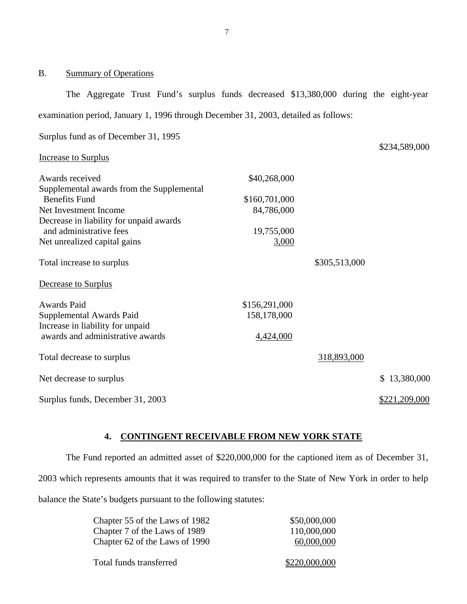### B. Summary of Operations

The Aggregate Trust Fund's surplus funds decreased \$13,380,000 during the eight-year examination period, January 1, 1996 through December 31, 2003, detailed as follows:

\$234,589,000

Surplus fund as of December 31, 1995

#### Increase to Surplus

| Awards received                           | \$40,268,000  |               |               |
|-------------------------------------------|---------------|---------------|---------------|
| Supplemental awards from the Supplemental |               |               |               |
| <b>Benefits Fund</b>                      | \$160,701,000 |               |               |
| Net Investment Income                     | 84,786,000    |               |               |
| Decrease in liability for unpaid awards   |               |               |               |
| and administrative fees                   | 19,755,000    |               |               |
| Net unrealized capital gains              | <u>3,000</u>  |               |               |
| Total increase to surplus                 |               | \$305,513,000 |               |
| Decrease to Surplus                       |               |               |               |
| Awards Paid                               | \$156,291,000 |               |               |
| Supplemental Awards Paid                  | 158,178,000   |               |               |
| Increase in liability for unpaid          |               |               |               |
| awards and administrative awards          | 4,424,000     |               |               |
| Total decrease to surplus                 |               | 318,893,000   |               |
| Net decrease to surplus                   |               |               | \$13,380,000  |
| Surplus funds, December 31, 2003          |               |               | \$221,209,000 |

### **4. CONTINGENT RECEIVABLE FROM NEW YORK STATE**

The Fund reported an admitted asset of \$220,000,000 for the captioned item as of December 31, 2003 which represents amounts that it was required to transfer to the State of New York in order to help balance the State's budgets pursuant to the following statutes:

| Chapter 55 of the Laws of 1982 | \$50,000,000  |
|--------------------------------|---------------|
| Chapter 7 of the Laws of 1989  | 110,000,000   |
| Chapter 62 of the Laws of 1990 | 60,000,000    |
|                                |               |
| Total funds transferred        | \$220,000,000 |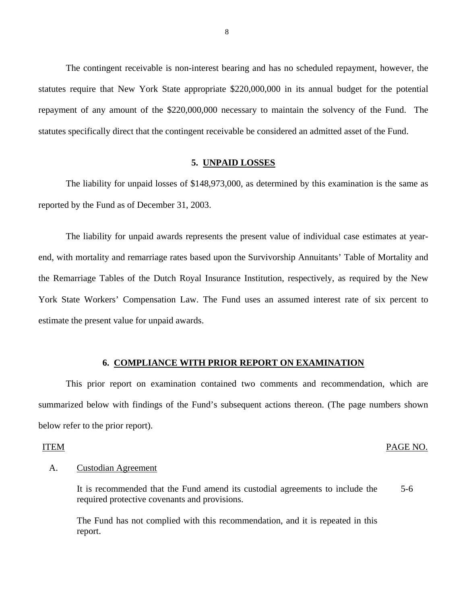<span id="page-9-0"></span>The contingent receivable is non-interest bearing and has no scheduled repayment, however, the statutes require that New York State appropriate \$220,000,000 in its annual budget for the potential repayment of any amount of the \$220,000,000 necessary to maintain the solvency of the Fund. The statutes specifically direct that the contingent receivable be considered an admitted asset of the Fund.

#### **5. UNPAID LOSSES**

The liability for unpaid losses of \$148,973,000, as determined by this examination is the same as reported by the Fund as of December 31, 2003.

The liability for unpaid awards represents the present value of individual case estimates at yearend, with mortality and remarriage rates based upon the Survivorship Annuitants' Table of Mortality and the Remarriage Tables of the Dutch Royal Insurance Institution, respectively, as required by the New York State Workers' Compensation Law. The Fund uses an assumed interest rate of six percent to estimate the present value for unpaid awards.

#### **6. COMPLIANCE WITH PRIOR REPORT ON EXAMINATION**

This prior report on examination contained two comments and recommendation, which are summarized below with findings of the Fund's subsequent actions thereon. (The page numbers shown below refer to the prior report).

#### **ITEM**

#### ITEM PAGE NO.

#### **Custodian Agreement**

A. Custodian Agreement<br>It is recommended that the Fund amend its custodial agreements to include the 5-6 required protective covenants and provisions.

The Fund has not complied with this recommendation, and it is repeated in this report.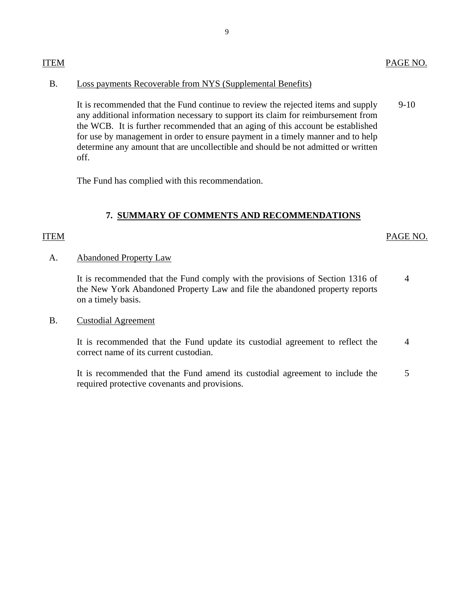## <span id="page-10-0"></span>Loss payments Recoverable from NYS (Supplemental Benefits)

B. Loss payments Recoverable from NYS (Supplemental Benefits)<br>It is recommended that the Fund continue to review the rejected items and supply 9-10 any additional information necessary to support its claim for reimbursement from the WCB. It is further recommended that an aging of this account be established for use by management in order to ensure payment in a timely manner and to help determine any amount that are uncollectible and should be not admitted or written off.

The Fund has complied with this recommendation.

## **7. SUMMARY OF COMMENTS AND RECOMMENDATIONS**

### **ITEM**

### ITEM PAGE NO.

### **Abandoned Property Law**

A. Abandoned Property Law<br>It is recommended that the Fund comply with the provisions of Section 1316 of 4 the New York Abandoned Property Law and file the abandoned property reports on a timely basis.

### **Custodial Agreement**

B. Custodial Agreement<br>It is recommended that the Fund update its custodial agreement to reflect the 4 correct name of its current custodian.

It is recommended that the Fund amend its custodial agreement to include the 5 required protective covenants and provisions.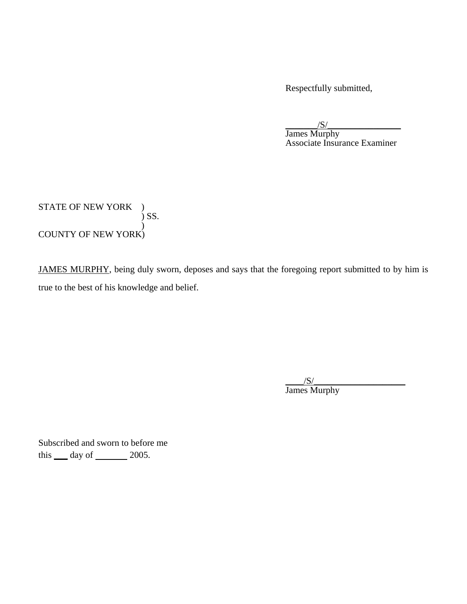Respectfully submitted,

 $/S/$  James Murphy Associate Insurance Examiner

STATE OF NEW YORK )  $\int$  SS. ) COUNTY OF NEW YORK)

JAMES MURPHY, being duly sworn, deposes and says that the foregoing report submitted to by him is true to the best of his knowledge and belief.

> $\frac{|S|}{|S|}$ James Murphy

Subscribed and sworn to before me this  $\rule{1em}{0.15mm}$  day of  $\rule{1em}{0.15mm}$  2005.